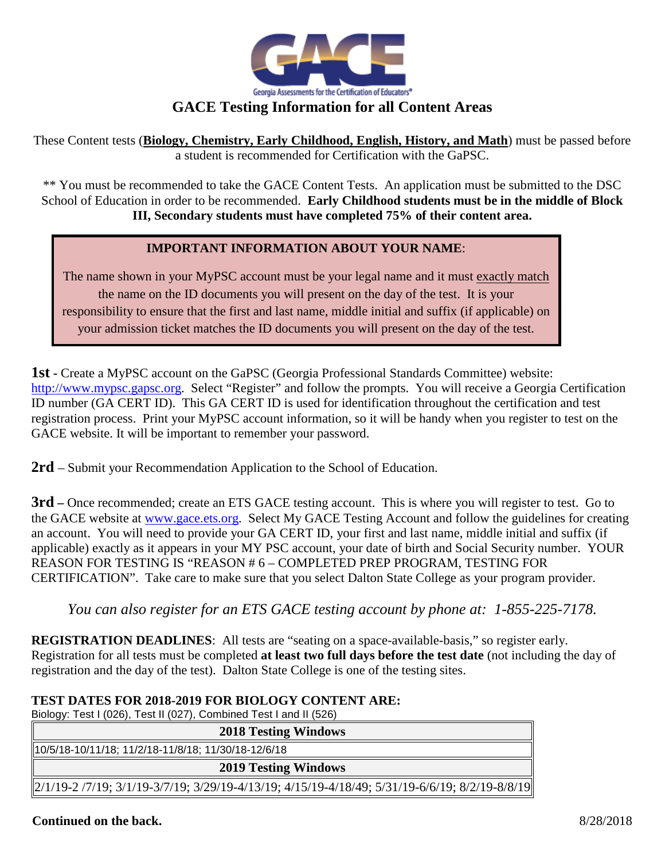

## **GACE Testing Information for all Content Areas**

These Content tests (**Biology, Chemistry, Early Childhood, English, History, and Math**) must be passed before a student is recommended for Certification with the GaPSC.

\*\* You must be recommended to take the GACE Content Tests. An application must be submitted to the DSC School of Education in order to be recommended. **Early Childhood students must be in the middle of Block III, Secondary students must have completed 75% of their content area.**

## **IMPORTANT INFORMATION ABOUT YOUR NAME**:

The name shown in your MyPSC account must be your legal name and it must exactly match the name on the ID documents you will present on the day of the test. It is your responsibility to ensure that the first and last name, middle initial and suffix (if applicable) on your admission ticket matches the ID documents you will present on the day of the test.

**1st -** Create a MyPSC account on the GaPSC (Georgia Professional Standards Committee) website: [http://www.mypsc.gapsc.org.](http://www.mypsc.gapsc.org/) Select "Register" and follow the prompts. You will receive a Georgia Certification ID number (GA CERT ID). This GA CERT ID is used for identification throughout the certification and test registration process. Print your MyPSC account information, so it will be handy when you register to test on the GACE website. It will be important to remember your password.

**2rd** – Submit your Recommendation Application to the School of Education.

**3rd** – Once recommended; create an ETS GACE testing account. This is where you will register to test. Go to the GACE website at [www.gace.ets.org.](http://www.gace.ets.org/) Select My GACE Testing Account and follow the guidelines for creating an account. You will need to provide your GA CERT ID, your first and last name, middle initial and suffix (if applicable) exactly as it appears in your MY PSC account, your date of birth and Social Security number. YOUR REASON FOR TESTING IS "REASON # 6 – COMPLETED PREP PROGRAM, TESTING FOR CERTIFICATION". Take care to make sure that you select Dalton State College as your program provider.

## *You can also register for an ETS GACE testing account by phone at: 1-855-225-7178.*

**REGISTRATION DEADLINES:** All tests are "seating on a space-available-basis," so register early. Registration for all tests must be completed **at least two full days before the test date** (not including the day of registration and the day of the test). Dalton State College is one of the testing sites.

## **TEST DATES FOR 2018-2019 FOR BIOLOGY CONTENT ARE:**

Biology: Test I (026), Test II (027), Combined Test I and II (526)

| <b>2018 Testing Windows</b>                                                                       |  |  |  |
|---------------------------------------------------------------------------------------------------|--|--|--|
| 10/5/18-10/11/18; 11/2/18-11/8/18; 11/30/18-12/6/18                                               |  |  |  |
| <b>2019 Testing Windows</b>                                                                       |  |  |  |
| $[2/1/19-2/7/19; 3/1/19-3/7/19; 3/29/19-4/13/19; 4/15/19-4/18/49; 5/31/19-6/6/19; 8/2/19-8/8/19]$ |  |  |  |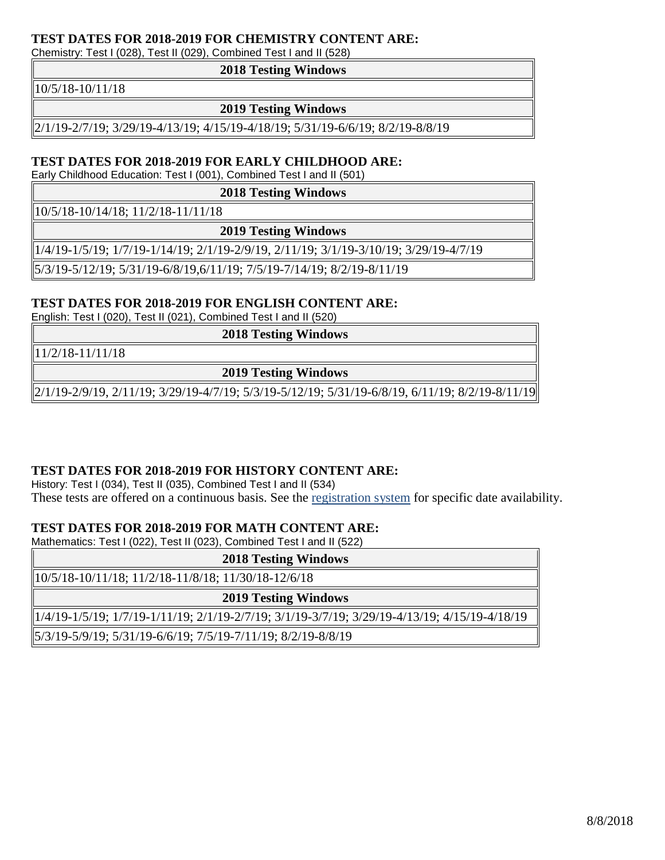#### **TEST DATES FOR 2018-2019 FOR CHEMISTRY CONTENT ARE:**

Chemistry: Test I (028), Test II (029), Combined Test I and II (528)

#### **2018 Testing Windows**

10/5/18-10/11/18

#### **2019 Testing Windows**

2/1/19-2/7/19; 3/29/19-4/13/19; 4/15/19-4/18/19; 5/31/19-6/6/19; 8/2/19-8/8/19

### **TEST DATES FOR 2018-2019 FOR EARLY CHILDHOOD ARE:**

Early Childhood Education: Test I (001), Combined Test I and II (501)

**2018 Testing Windows**

10/5/18-10/14/18; 11/2/18-11/11/18

**2019 Testing Windows**

1/4/19-1/5/19; 1/7/19-1/14/19; 2/1/19-2/9/19, 2/11/19; 3/1/19-3/10/19; 3/29/19-4/7/19

5/3/19-5/12/19; 5/31/19-6/8/19,6/11/19; 7/5/19-7/14/19; 8/2/19-8/11/19

#### **TEST DATES FOR 2018-2019 FOR ENGLISH CONTENT ARE:**

English: Test I (020), Test II (021), Combined Test I and II (520)

**2018 Testing Windows**

11/2/18-11/11/18

**2019 Testing Windows**

2/1/19-2/9/19, 2/11/19; 3/29/19-4/7/19; 5/3/19-5/12/19; 5/31/19-6/8/19, 6/11/19; 8/2/19-8/11/19

#### **TEST DATES FOR 2018-2019 FOR HISTORY CONTENT ARE:**

History: Test I (034), Test II (035), Combined Test I and II (534) These tests are offered on a continuous basis. See the [registration system](https://mygace.ets.org/portal/site/iserpraxis/menuitem.4052e1bc70f83a54aea08a10c1d2c2a0/?WT.ac=mygace_150503) for specific date availability.

## **TEST DATES FOR 2018-2019 FOR MATH CONTENT ARE:**

Mathematics: Test I (022), Test II (023), Combined Test I and II (522)

| <b>2018 Testing Windows</b>                                                                   |  |  |
|-----------------------------------------------------------------------------------------------|--|--|
| 10/5/18-10/11/18; 11/2/18-11/8/18; 11/30/18-12/6/18                                           |  |  |
| <b>2019 Testing Windows</b>                                                                   |  |  |
| 1/4/19-1/5/19; 1/7/19-1/11/19; 2/1/19-2/7/19; 3/1/19-3/7/19; 3/29/19-4/13/19; 4/15/19-4/18/19 |  |  |
| 5/3/19-5/9/19; 5/31/19-6/6/19; 7/5/19-7/11/19; 8/2/19-8/8/19                                  |  |  |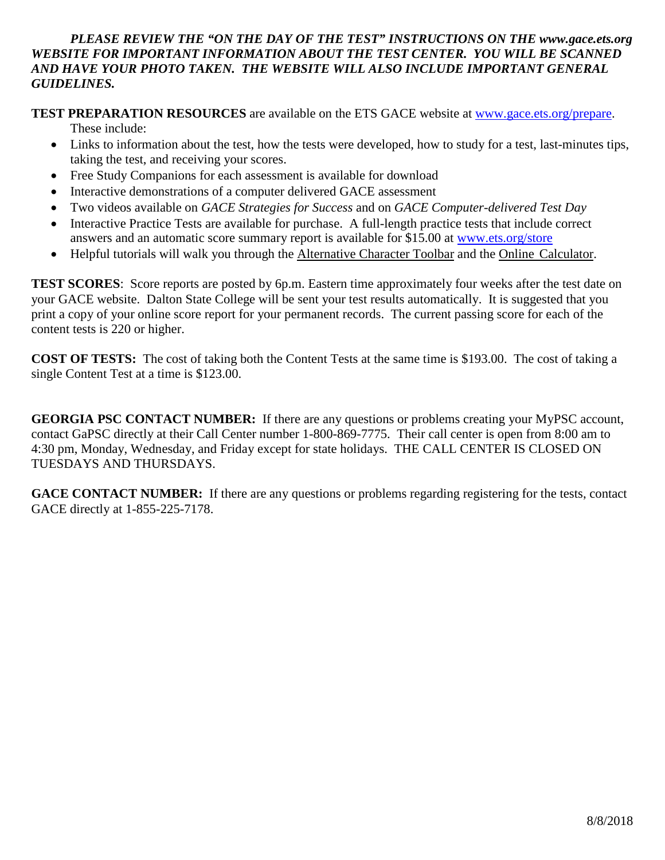## *PLEASE REVIEW THE "ON THE DAY OF THE TEST" INSTRUCTIONS ON THE www.gace.ets.org WEBSITE FOR IMPORTANT INFORMATION ABOUT THE TEST CENTER. YOU WILL BE SCANNED AND HAVE YOUR PHOTO TAKEN. THE WEBSITE WILL ALSO INCLUDE IMPORTANT GENERAL GUIDELINES.*

**TEST PREPARATION RESOURCES** are available on the ETS GACE website at [www.gace.ets.org/prepare.](http://www.gace.ets.org/prepare)

These include:

- Links to information about the test, how the tests were developed, how to study for a test, last-minutes tips, taking the test, and receiving your scores.
- Free Study Companions for each assessment is available for download
- Interactive demonstrations of a computer delivered GACE assessment
- Two videos available on *GACE Strategies for Success* and on *GACE Computer-delivered Test Day*
- Interactive Practice Tests are available for purchase. A full-length practice tests that include correct answers and an automatic score summary report is available for \$15.00 at [www.ets.org/store](http://www.ets.org/store)
- Helpful tutorials will walk you through the Alternative Character Toolbar and the Online Calculator.

**TEST SCORES**: Score reports are posted by 6p.m. Eastern time approximately four weeks after the test date on your GACE website. Dalton State College will be sent your test results automatically. It is suggested that you print a copy of your online score report for your permanent records. The current passing score for each of the content tests is 220 or higher.

**COST OF TESTS:** The cost of taking both the Content Tests at the same time is \$193.00. The cost of taking a single Content Test at a time is \$123.00.

**GEORGIA PSC CONTACT NUMBER:** If there are any questions or problems creating your MyPSC account, contact GaPSC directly at their Call Center number 1-800-869-7775. Their call center is open from 8:00 am to 4:30 pm, Monday, Wednesday, and Friday except for state holidays. THE CALL CENTER IS CLOSED ON TUESDAYS AND THURSDAYS.

**GACE CONTACT NUMBER:** If there are any questions or problems regarding registering for the tests, contact GACE directly at 1-855-225-7178.